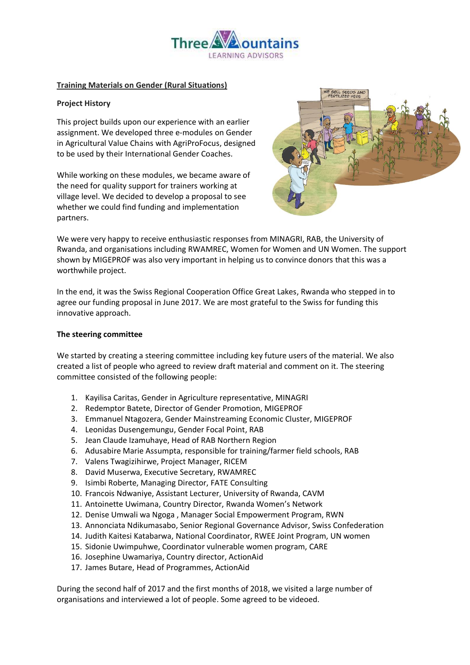

## **Training Materials on Gender (Rural Situations)**

# **Project History**

This project builds upon our experience with an earlier assignment. We developed three e-modules on Gender in Agricultural Value Chains with AgriProFocus, designed to be used by their International Gender Coaches.

While working on these modules, we became aware of the need for quality support for trainers working at village level. We decided to develop a proposal to see whether we could find funding and implementation partners.



We were very happy to receive enthusiastic responses from MINAGRI, RAB, the University of Rwanda, and organisations including RWAMREC, Women for Women and UN Women. The support shown by MIGEPROF was also very important in helping us to convince donors that this was a worthwhile project.

In the end, it was the Swiss Regional Cooperation Office Great Lakes, Rwanda who stepped in to agree our funding proposal in June 2017. We are most grateful to the Swiss for funding this innovative approach.

#### **The steering committee**

We started by creating a steering committee including key future users of the material. We also created a list of people who agreed to review draft material and comment on it. The steering committee consisted of the following people:

- 1. Kayilisa Caritas, Gender in Agriculture representative, MINAGRI
- 2. Redemptor Batete, Director of Gender Promotion, MIGEPROF
- 3. Emmanuel Ntagozera, Gender Mainstreaming Economic Cluster, MIGEPROF
- 4. Leonidas Dusengemungu, Gender Focal Point, RAB
- 5. Jean Claude Izamuhaye, Head of RAB Northern Region
- 6. Adusabire Marie Assumpta, responsible for training/farmer field schools, RAB
- 7. Valens Twagizihirwe, Project Manager, RICEM
- 8. David Muserwa, Executive Secretary, RWAMREC
- 9. Isimbi Roberte, Managing Director, FATE Consulting
- 10. Francois Ndwaniye, Assistant Lecturer, University of Rwanda, CAVM
- 11. Antoinette Uwimana, Country Director, Rwanda Women's Network
- 12. Denise Umwali wa Ngoga , Manager Social Empowerment Program, RWN
- 13. Annonciata Ndikumasabo, Senior Regional Governance Advisor, Swiss Confederation
- 14. Judith Kaitesi Katabarwa, National Coordinator, RWEE Joint Program, UN women
- 15. Sidonie Uwimpuhwe, Coordinator vulnerable women program, CARE
- 16. Josephine Uwamariya, Country director, ActionAid
- 17. James Butare, Head of Programmes, ActionAid

During the second half of 2017 and the first months of 2018, we visited a large number of organisations and interviewed a lot of people. Some agreed to be videoed.